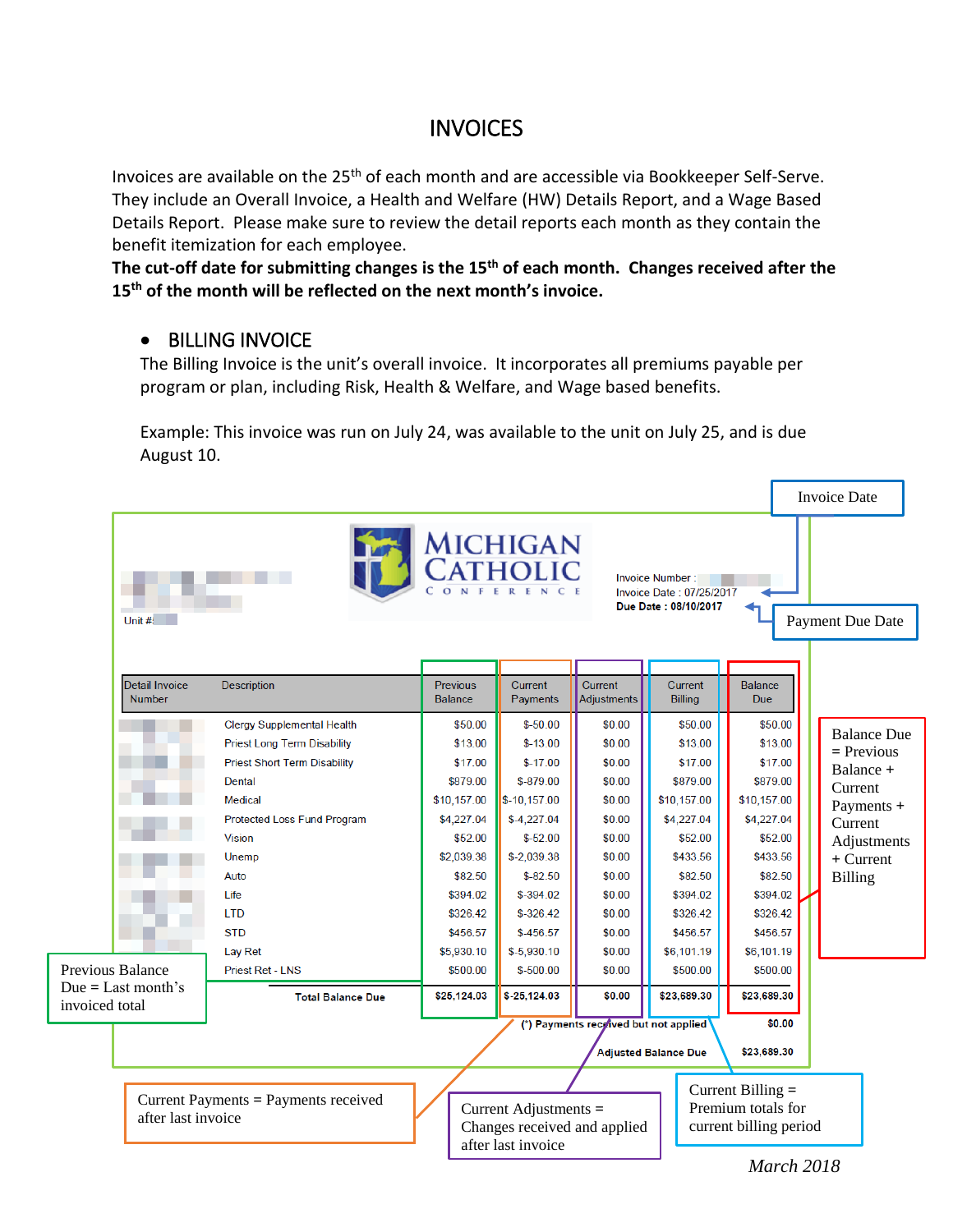## **INVOICES**

Invoices are available on the 25<sup>th</sup> of each month and are accessible via Bookkeeper Self-Serve. They include an Overall Invoice, a Health and Welfare (HW) Details Report, and a Wage Based Details Report. Please make sure to review the detail reports each month as they contain the benefit itemization for each employee.

**The cut-off date for submitting changes is the 15th of each month. Changes received after the 15th of the month will be reflected on the next month's invoice.**

## • BILLING INVOICE

The Billing Invoice is the unit's overall invoice. It incorporates all premiums payable per program or plan, including Risk, Health & Welfare, and Wage based benefits.

Example: This invoice was run on July 24, was available to the unit on July 25, and is due August 10.

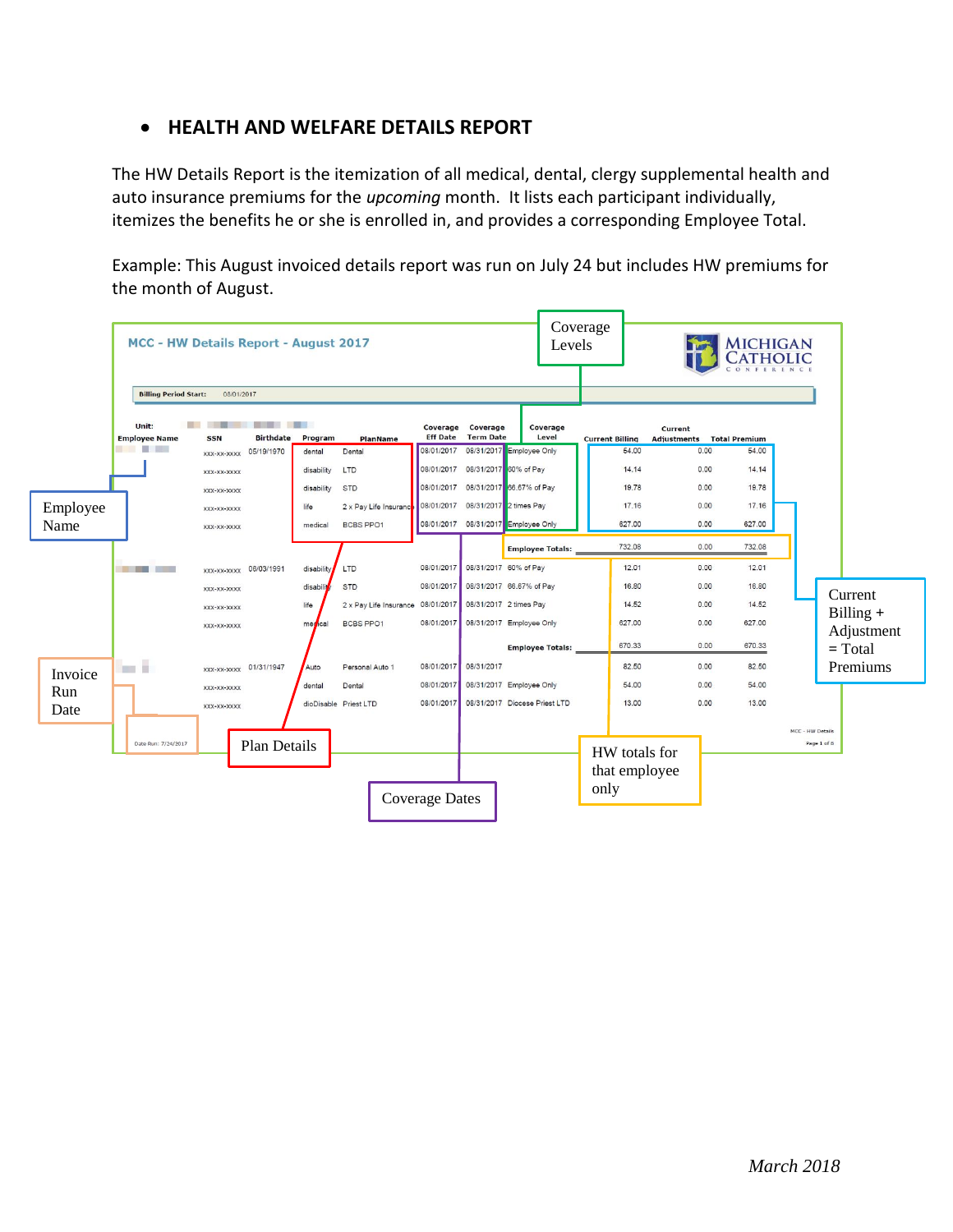## • **HEALTH AND WELFARE DETAILS REPORT**

The HW Details Report is the itemization of all medical, dental, clergy supplemental health and auto insurance premiums for the *upcoming* month. It lists each participant individually, itemizes the benefits he or she is enrolled in, and provides a corresponding Employee Total.

Example: This August invoiced details report was run on July 24 but includes HW premiums for the month of August.